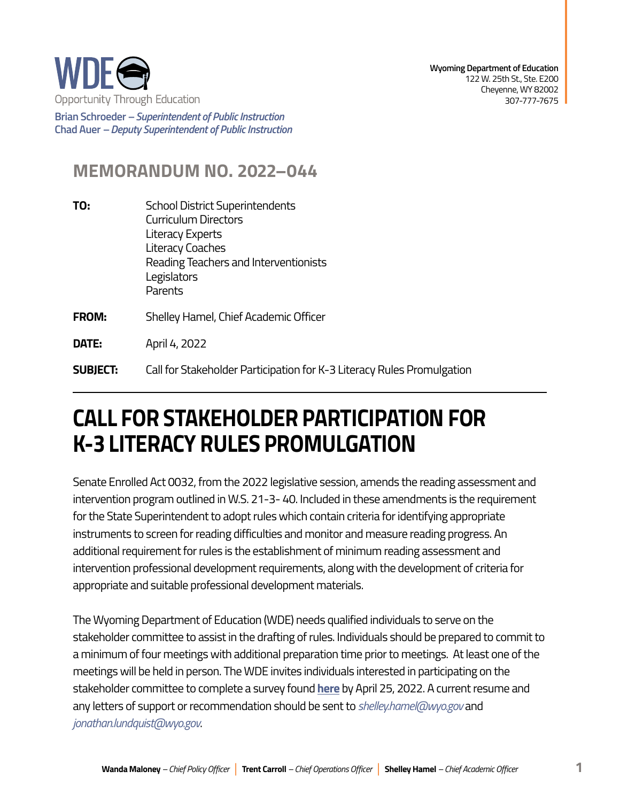

**Brian Schroeder –***Superintendent of Public Instruction*  **Chad Auer** *– Deputy Superintendent of Public Instruction* 

## **MEMORANDUM NO. 2022–044**

- **TO:** School District Superintendents Curriculum Directors Literacy Experts Literacy Coaches Reading Teachers and Interventionists **Legislators** Parents
- **FROM:** Shelley Hamel, Chief Academic Officer

**DATE:** April 4, 2022

**SUBJECT:** Call for Stakeholder Participation for K-3 Literacy Rules Promulgation

## **CALL FOR STAKEHOLDER PARTICIPATION FOR K-3 LITERACY RULES PROMULGATION**

Senate Enrolled Act 0032, from the 2022 legislative session, amends the reading assessment and intervention program outlined in W.S. 21-3- 40. Included in these amendments is the requirement for the State Superintendent to adopt rules which contain criteria for identifying appropriate instruments to screen for reading difficulties and monitor and measure reading progress. An additional requirement for rules is the establishment of minimum reading assessment and intervention professional development requirements, along with the development of criteria for appropriate and suitable professional development materials.

The Wyoming Department of Education (WDE) needs qualified individuals to serve on the stakeholder committee to assist in the drafting of rules. Individuals should be prepared to commit to a minimum of four meetings with additional preparation time prior to meetings. At least one of the meetings will be held in person. The WDE invites individuals interested in participating on the stakeholder committee to complete a survey found **[here](https://docs.google.com/forms/d/1tHYV2_TZuF36PUsWPsm3fYr0o5IIaRgnCg15rT_i-0s/edit)** by April 25, 2022. A current resume and any letters of support or recommendation should be sent to *[shelley.hamel@wyo.gov](mailto:shelley.hamel%40wyo.gov?subject=)* and *[jonathan.lundquist@wyo.gov](mailto:jonathan.lundquist%40wyo.gov?subject=)*.